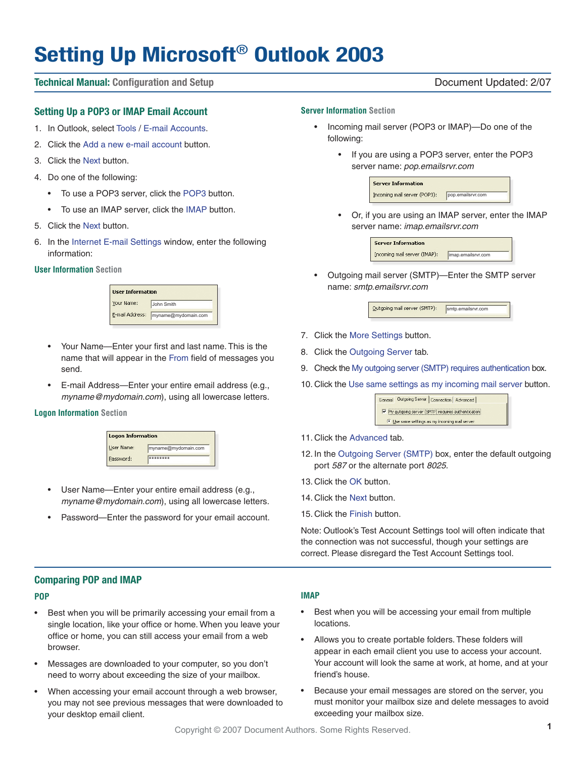# **Setting Up Microsoft**® **Outlook 2003**

#### **Technical Manual: Configuration and Setup** Document Updated: 2/07

#### **Setting Up a POP3 or IMAP Email Account**

- 1. In Outlook, select Tools / E-mail Accounts.
- 2. Click the Add a new e-mail account button.
- 3. Click the Next button.
- 4. Do one of the following:
	- To use a POP3 server, click the POP3 button.
	- To use an IMAP server, click the IMAP button.
- 5. Click the Next button.
- 6. In the Internet E-mail Settings window, enter the following information:

#### **User Information Section**



- Your Name—Enter your first and last name. This is the name that will appear in the From field of messages you send.
- E-mail Address—Enter your entire email address (e.g., myname@mydomain.com), using all lowercase letters.

#### **Logon Information Section**

| <b>Logon Information</b> |                     |  |
|--------------------------|---------------------|--|
| User Name:               | myname@mydomain.com |  |
| Password:                | *******             |  |

- User Name—Enter your entire email address (e.g., myname@mydomain.com), using all lowercase letters.
- Password—Enter the password for your email account.

### **Server Information Section**

- Incoming mail server (POP3 or IMAP)—Do one of the following:
	- If you are using a POP3 server, enter the POP3 server name: pop.emailsrvr.com

| <b>Server Information</b>    |                   |
|------------------------------|-------------------|
| Incoming mail server (POP3): | pop.emailsrvr.com |

• Or, if you are using an IMAP server, enter the IMAP server name: imap.emailsrvr.com



• Outgoing mail server (SMTP)—Enter the SMTP server name: smtp.emailsrvr.com



- 7. Click the More Settings button.
- 8. Click the Outgoing Server tab.
- 9. Check the My outgoing server (SMTP) requires authentication box.
- 10. Click the Use same settings as my incoming mail server button.

|                                                    | General Dutgoing Server   Connection   Advanced |  |  |  |
|----------------------------------------------------|-------------------------------------------------|--|--|--|
| My outgoing server (SMTP) requires authentication. |                                                 |  |  |  |
| Use same settings as my incoming mail server       |                                                 |  |  |  |

- 11. Click the Advanced tab.
- 12. In the Outgoing Server (SMTP) box, enter the default outgoing port 587 or the alternate port 8025.
- 13. Click the OK button.
- 14. Click the Next button.
- 15. Click the Finish button.

Note: Outlook's Test Account Settings tool will often indicate that the connection was not successful, though your settings are correct. Please disregard the Test Account Settings tool.

#### **Comparing POP and IMAP**

#### **POP**

- Best when you will be primarily accessing your email from a single location, like your office or home. When you leave your office or home, you can still access your email from a web browser.
- Messages are downloaded to your computer, so you don't need to worry about exceeding the size of your mailbox.
- When accessing your email account through a web browser, you may not see previous messages that were downloaded to your desktop email client.

#### **IMAP**

- Best when you will be accessing your email from multiple locations.
- Allows you to create portable folders. These folders will appear in each email client you use to access your account. Your account will look the same at work, at home, and at your friend's house.
- Because your email messages are stored on the server, you must monitor your mailbox size and delete messages to avoid exceeding your mailbox size.